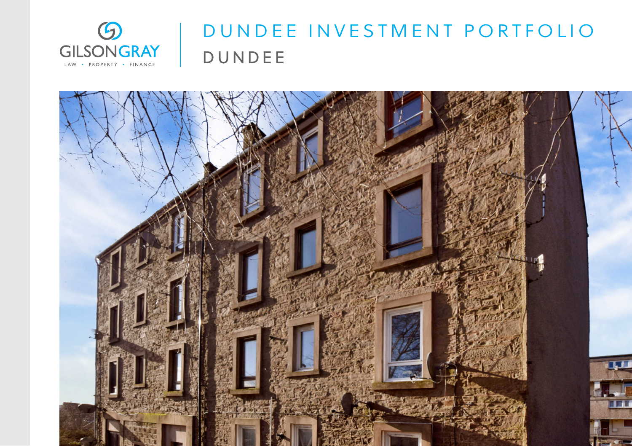

## DUNDEE INVESTMENT PORTFOLIO DUNDEE